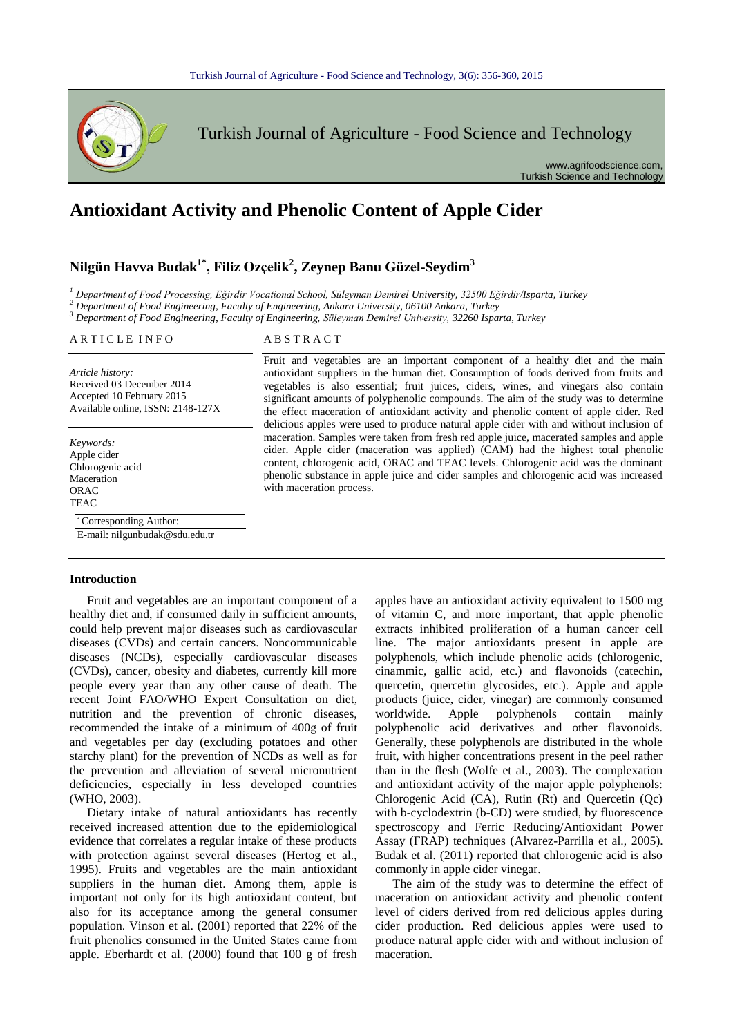

# **Antioxidant Activity and Phenolic Content of Apple Cider**

# **Nilgün Havva Budak1\*, Filiz Ozçelik<sup>2</sup> , Zeynep Banu Güzel-Seydim<sup>3</sup>**

*<sup>1</sup> Department of Food Processing, Eğirdir Vocational School, Süleyman Demirel University, 32500 Eğirdir/Isparta, Turkey*

*<sup>2</sup> Department of Food Engineering, Faculty of Engineering, Ankara University, 06100 Ankara, Turkey*

*<sup>3</sup> Department of Food Engineering, Faculty of Engineering, Süleyman Demirel University, 32260 Isparta, Turkey*

#### ARTICLE INFO ABSTRACT

*Article history:* Received 03 December 2014 Accepted 10 February 2015 Available online, ISSN: 2148-127X

*Keywords:* Apple cider Chlorogenic acid Maceration ORAC **TEAC** 

#### \* Corresponding Author:

E-mail: nilgunbudak@sdu.edu.tr

#### Introduction

Fruit and vegetables are an important component of a healthy diet and, if consumed daily in sufficient amounts, could help prevent major diseases such as cardiovascular diseases (CVDs) and certain cancers. Noncommunicable diseases (NCDs), especially cardiovascular diseases (CVDs), cancer, obesity and diabetes, currently kill more people every year than any other cause of death. The recent Joint FAO/WHO Expert Consultation on diet, nutrition and the prevention of chronic diseases, recommended the intake of a minimum of 400g of fruit and vegetables per day (excluding potatoes and other starchy plant) for the prevention of NCDs as well as for the prevention and alleviation of several micronutrient deficiencies, especially in less developed countries (WHO, 2003). Fruit and v

Dietary intake of natural antioxidants has recently received increased attention due to the epidemiological evidence that correlates a regular intake of these products with protection against several diseases (Hertog et al., 1995). Fruits and vegetables are the main antioxidant suppliers in the human diet. Among them, apple is important not only for its high antioxidant content, but also for its acceptance among the general consumer population. Vinson et al. (2001) reported that 22% of the fruit phenolics consumed in the United States came from apple. Eberhardt et al. (2000) found that 100 g of fresh

Fruit and vegetables are an important component of a healthy diet and the main antioxidant suppliers in the human diet. Consumption of foods derived from fruits and vegetables is also essential; fruit juices, ciders, wines, and vinegars also contain significant amounts of polyphenolic compounds. The aim of the study was to determine the effect maceration of antioxidant activity and phenolic content of apple cider. Red delicious apples were used to produce natural apple cider with and without inclusion of maceration. Samples were taken from fresh red apple juice, macerated samples and apple cider. Apple cider (maceration was applied) (CAM) had the highest total phenolic content, chlorogenic acid, ORAC and TEAC levels. Chlorogenic acid was the dominant phenolic substance in apple juice and cider samples and chlorogenic acid was increased with maceration process.

> apples have an antioxidant activity equivalent to 1500 mg of vitamin C, and more important, that apple phenolic extracts inhibited proliferation of a human cancer cell line. The major antioxidants present in apple are polyphenols, which include phenolic acids (chlorogenic, cinammic, gallic acid, etc.) and flavonoids (catechin, quercetin, quercetin glycosides, etc.). Apple and apple products (juice, cider, vinegar) are commonly consumed worldwide. Apple polyphenols contain mainly polyphenolic acid derivatives and other flavonoids. Generally, these polyphenols are distributed in the whole fruit, with higher concentrations present in the peel rather than in the flesh (Wolfe et al., 2003). The complexation and antioxidant activity of the major apple polyphenols: Chlorogenic Acid (CA), Rutin (Rt) and Quercetin (Qc) with b-cyclodextrin (b-CD) were studied, by fluorescence spectroscopy and Ferric Reducing/Antioxidant Power Assay (FRAP) techniques (Alvarez-Parrilla et al., 2005). Budak et al. (2011) reported that chlorogenic acid is also commonly in apple cider vinegar.

> The aim of the study was to determine the effect of maceration on antioxidant activity and phenolic content level of ciders derived from red delicious apples during cider production. Red delicious apples were used to produce natural apple cider with and without inclusion of maceration.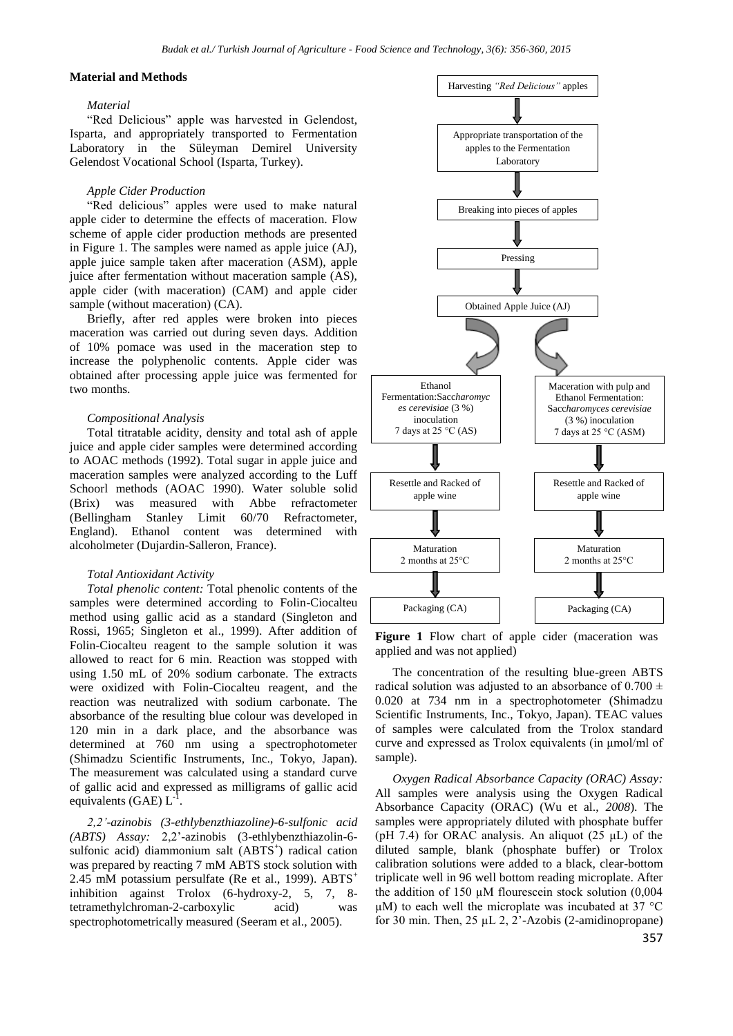# **Material and Methods**

#### *Material*

"Red Delicious" apple was harvested in Gelendost, Isparta, and appropriately transported to Fermentation Laboratory in the Süleyman Demirel University Gelendost Vocational School (Isparta, Turkey).

#### *Apple Cider Production*

"Red delicious" apples were used to make natural apple cider to determine the effects of maceration. Flow scheme of apple cider production methods are presented in Figure 1. The samples were named as apple juice (AJ), apple juice sample taken after maceration (ASM), apple juice after fermentation without maceration sample (AS), apple cider (with maceration) (CAM) and apple cider sample (without maceration) (CA).

Briefly, after red apples were broken into pieces maceration was carried out during seven days. Addition of 10% pomace was used in the maceration step to increase the polyphenolic contents. Apple cider was obtained after processing apple juice was fermented for two months.

#### *Compositional Analysis*

Total titratable acidity, density and total ash of apple juice and apple cider samples were determined according to AOAC methods (1992). Total sugar in apple juice and maceration samples were analyzed according to the Luff Schoorl methods (AOAC 1990). Water soluble solid (Brix) was measured with Abbe refractometer (Bellingham Stanley Limit 60/70 Refractometer, England). Ethanol content was determined with alcoholmeter (Dujardin-Salleron, France).

#### *Total Antioxidant Activity*

*Total phenolic content:* Total phenolic contents of the samples were determined according to Folin-Ciocalteu method using gallic acid as a standard (Singleton and Rossi, 1965; Singleton et al., 1999). After addition of Folin-Ciocalteu reagent to the sample solution it was allowed to react for 6 min. Reaction was stopped with using 1.50 mL of 20% sodium carbonate. The extracts were oxidized with Folin-Ciocalteu reagent, and the reaction was neutralized with sodium carbonate. The absorbance of the resulting blue colour was developed in 120 min in a dark place, and the absorbance was determined at 760 nm using a spectrophotometer (Shimadzu Scientific Instruments, Inc., Tokyo, Japan). The measurement was calculated using a standard curve of gallic acid and expressed as milligrams of gallic acid equivalents (GAE)  $L^{-1}$ .

*2,2'-azinobis (3-ethlybenzthiazoline)-6-sulfonic acid (ABTS) Assay:* 2,2'-azinobis (3-ethlybenzthiazolin-6 sulfonic acid) diammonium salt (ABTS<sup>+</sup>) radical cation was prepared by reacting 7 mM ABTS stock solution with 2.45 mM potassium persulfate (Re et al., 1999).  $ABTS^+$ inhibition against Trolox (6-hydroxy-2, 5, 7, 8 tetramethylchroman-2-carboxylic acid) was spectrophotometrically measured (Seeram et al., 2005).



**Figure 1** Flow chart of apple cider (maceration was applied and was not applied)

The concentration of the resulting blue-green ABTS radical solution was adjusted to an absorbance of  $0.700 \pm$ 0.020 at 734 nm in a spectrophotometer (Shimadzu Scientific Instruments, Inc., Tokyo, Japan). TEAC values of samples were calculated from the Trolox standard curve and expressed as Trolox equivalents (in μmol/ml of sample).

*Oxygen Radical Absorbance Capacity (ORAC) Assay:* All samples were analysis using the Oxygen Radical Absorbance Capacity (ORAC) (Wu et al., *2008*). The samples were appropriately diluted with phosphate buffer (pH 7.4) for ORAC analysis. An aliquot  $(25 \mu L)$  of the diluted sample, blank (phosphate buffer) or Trolox calibration solutions were added to a black, clear-bottom triplicate well in 96 well bottom reading microplate. After the addition of 150  $\mu$ M flourescein stock solution (0,004)  $\mu$ M) to each well the microplate was incubated at 37 °C for 30 min. Then, 25  $\mu$ L 2, 2'-Azobis (2-amidinopropane)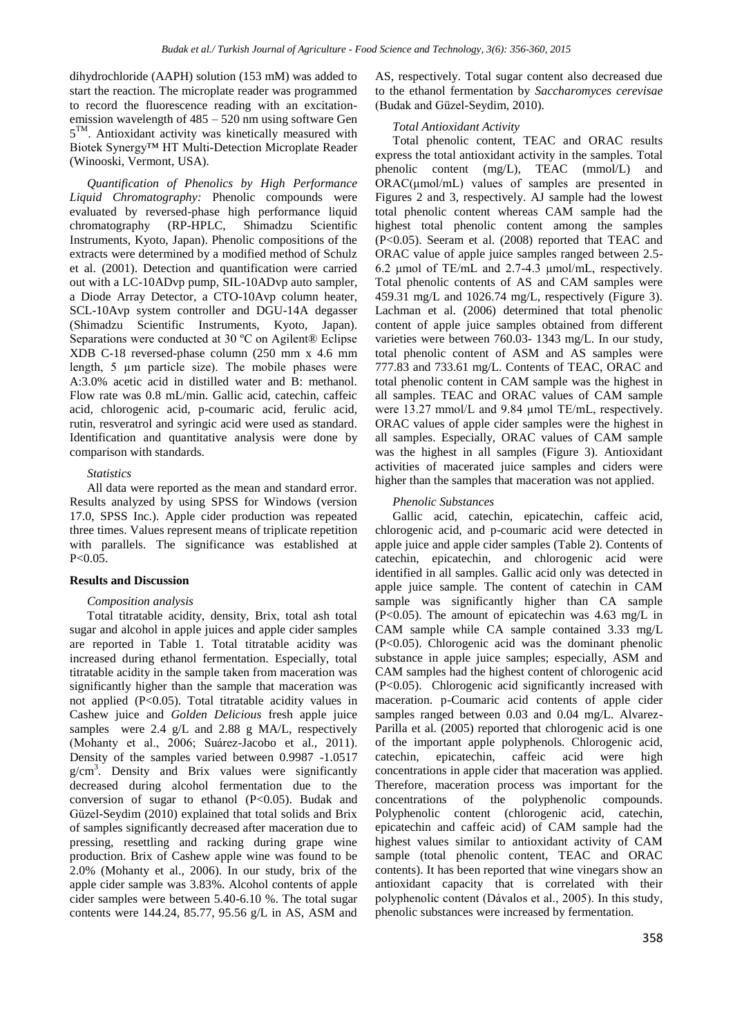dihydrochloride (AAPH) solution (153 mM) was added to start the reaction. The microplate reader was programmed to record the fluorescence reading with an excitationemission wavelength of 485 – 520 nm using software Gen 5<sup>TM</sup>. Antioxidant activity was kinetically measured with Biotek Synergy™ HT Multi-Detection Microplate Reader (Winooski, Vermont, USA).

*Quantification of Phenolics by High Performance Liquid Chromatography:* Phenolic compounds were evaluated by reversed-phase high performance liquid chromatography (RP-HPLC, Shimadzu Scientific Instruments, Kyoto, Japan). Phenolic compositions of the extracts were determined by a modified method of Schulz et al. (2001). Detection and quantification were carried out with a LC-10ADvp pump, SIL-10ADvp auto sampler, a Diode Array Detector, a CTO-10Avp column heater, SCL-10Avp system controller and DGU-14A degasser (Shimadzu Scientific Instruments, Kyoto, Japan). Separations were conducted at 30 ºC on Agilent® Eclipse XDB C-18 reversed-phase column (250 mm x 4.6 mm length, 5 µm particle size). The mobile phases were A:3.0% acetic acid in distilled water and B: methanol. Flow rate was 0.8 mL/min. Gallic acid, catechin, caffeic acid, chlorogenic acid, p-coumaric acid, ferulic acid, rutin, resveratrol and syringic acid were used as standard. Identification and quantitative analysis were done by comparison with standards.

# *Statistics*

All data were reported as the mean and standard error. Results analyzed by using SPSS for Windows (version 17.0, SPSS Inc.). Apple cider production was repeated three times. Values represent means of triplicate repetition with parallels. The significance was established at P<0.05.

# **Results and Discussion**

# *Composition analysis*

Total titratable acidity, density, Brix, total ash total sugar and alcohol in apple juices and apple cider samples are reported in Table 1. Total titratable acidity was increased during ethanol fermentation. Especially, total titratable acidity in the sample taken from maceration was significantly higher than the sample that maceration was not applied (P<0.05). Total titratable acidity values in Cashew juice and *Golden Delicious* fresh apple juice samples were 2.4 g/L and 2.88 g MA/L, respectively (Mohanty et al., 2006; Suárez-Jacobo et al., 2011). Density of the samples varied between 0.9987 -1.0517  $g/cm<sup>3</sup>$ . Density and Brix values were significantly decreased during alcohol fermentation due to the conversion of sugar to ethanol  $(P<0.05)$ . Budak and Güzel-Seydim (2010) explained that total solids and Brix of samples significantly decreased after maceration due to pressing, resettling and racking during grape wine production. Brix of Cashew apple wine was found to be 2.0% (Mohanty et al., 2006). In our study, brix of the apple cider sample was 3.83%. Alcohol contents of apple cider samples were between 5.40-6.10 %. The total sugar contents were 144.24, 85.77, 95.56 g/L in AS, ASM and

AS, respectively. Total sugar content also decreased due to the ethanol fermentation by *Saccharomyces cerevisae* (Budak and Güzel-Seydim, 2010).

# *Total Antioxidant Activity*

Total phenolic content, TEAC and ORAC results express the total antioxidant activity in the samples. Total phenolic content (mg/L), TEAC (mmol/L) and ORAC(μmol/mL) values of samples are presented in Figures 2 and 3, respectively. AJ sample had the lowest total phenolic content whereas CAM sample had the highest total phenolic content among the samples (P<0.05). Seeram et al. (2008) reported that TEAC and ORAC value of apple juice samples ranged between 2.5- 6.2 μmol of TE/mL and 2.7-4.3 μmol/mL, respectively. Total phenolic contents of AS and CAM samples were 459.31 mg/L and 1026.74 mg/L, respectively (Figure 3). Lachman et al. (2006) determined that total phenolic content of apple juice samples obtained from different varieties were between 760.03- 1343 mg/L. In our study, total phenolic content of ASM and AS samples were 777.83 and 733.61 mg/L. Contents of TEAC, ORAC and total phenolic content in CAM sample was the highest in all samples. TEAC and ORAC values of CAM sample were 13.27 mmol/L and 9.84 µmol TE/mL, respectively. ORAC values of apple cider samples were the highest in all samples. Especially, ORAC values of CAM sample was the highest in all samples (Figure 3). Antioxidant activities of macerated juice samples and ciders were higher than the samples that maceration was not applied.

# *Phenolic Substances*

Gallic acid, catechin, epicatechin, caffeic acid, chlorogenic acid, and p-coumaric acid were detected in apple juice and apple cider samples (Table 2). Contents of catechin, epicatechin, and chlorogenic acid were identified in all samples. Gallic acid only was detected in apple juice sample. The content of catechin in CAM sample was significantly higher than CA sample (P<0.05). The amount of epicatechin was 4.63 mg/L in CAM sample while CA sample contained 3.33 mg/L (P<0.05). Chlorogenic acid was the dominant phenolic substance in apple juice samples; especially, ASM and CAM samples had the highest content of chlorogenic acid (P<0.05). Chlorogenic acid significantly increased with maceration. p-Coumaric acid contents of apple cider samples ranged between 0.03 and 0.04 mg/L. Alvarez-Parilla et al. (2005) reported that chlorogenic acid is one of the important apple polyphenols. Chlorogenic acid, catechin, epicatechin, caffeic acid were high concentrations in apple cider that maceration was applied. Therefore, maceration process was important for the concentrations of the polyphenolic compounds. Polyphenolic content (chlorogenic acid, catechin, epicatechin and caffeic acid) of CAM sample had the highest values similar to antioxidant activity of CAM sample (total phenolic content, TEAC and ORAC contents). It has been reported that wine vinegars show an antioxidant capacity that is correlated with their polyphenolic content (Dávalos et al., 2005). In this study, phenolic substances were increased by fermentation.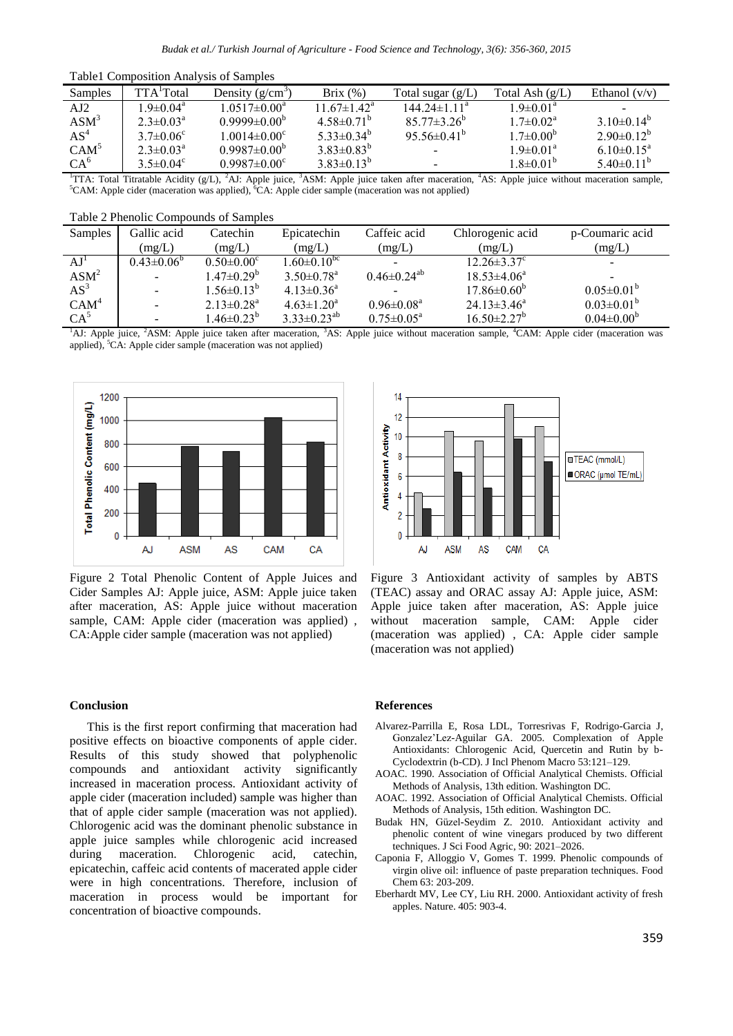Table1 Composition Analysis of Samples

| Samples          | TTA Total                   | Density $(g/cm^3)$        | Brix $(\%)$                   | Total sugar $(g/L)$           | Total Ash $(g/L)$         | Ethanol $(v/v)$              |
|------------------|-----------------------------|---------------------------|-------------------------------|-------------------------------|---------------------------|------------------------------|
| AI2              | $19 \pm 0.04$ <sup>a</sup>  | $1.0517\pm0.00^a$         | 11.67 $\pm$ 1.42 <sup>a</sup> | 144 $24\pm1$ 11 <sup>a</sup>  | $1.9 \pm 0.01^{\text{a}}$ |                              |
| ASM <sup>3</sup> | $2.3 \pm 0.03^{\text{a}}$   | $0.9999\pm0.00^{6}$       | 4.58 $\pm$ 0.71 <sup>b</sup>  | $85.77 \pm 3.26^b$            | $1.7 \pm 0.02^{\text{a}}$ | 3 10 $\pm$ 0 14 <sup>b</sup> |
| $AS^4$           | 3.7 $\pm$ 0.06 <sup>c</sup> | $1.0014 \pm 0.00^{\circ}$ | 5 33 $\pm$ 0 34 <sup>b</sup>  | 95 56 $\pm$ 0 41 <sup>b</sup> | $1.7 \pm 0.00^b$          | $2.90\pm0.12^{b}$            |
| CAM <sup>5</sup> | $2.3 \pm 0.03^{\circ}$      | $0.9987\pm0.00^{\circ}$   | $3.83 \pm 0.83^b$             |                               | $1.9 \pm 0.01^{\text{a}}$ | $6.10\pm0.15^{\text{a}}$     |
| CA <sup>6</sup>  | 3.5 $\pm$ 0.04 <sup>c</sup> | $0.9987 \pm 0.00^{\circ}$ | $3.83\pm0.13^{b}$             |                               | $1.8 \pm 0.01^b$          | 5.40 $\pm$ 0.11 <sup>b</sup> |

<sup>1</sup>TTA: Total Titratable Acidity (g/L), <sup>2</sup>AJ: Apple juice, <sup>3</sup>ASM: Apple juice taken after maceration, <sup>4</sup>AS: Apple juice without maceration sample,  ${}^5$ CAM: Apple cider (maceration was applied),  ${}^6$ CA: Apple cider sample (maceration was not applied)

| Samples          | Gallic acid       | Catechin                     | Epicatechin                  | Caffeic acid               | Chlorogenic acid              | p-Coumaric acid          |
|------------------|-------------------|------------------------------|------------------------------|----------------------------|-------------------------------|--------------------------|
|                  | (mg/L)            | (mg/L)                       | (mg/L)                       | (mg/L)                     | (mg/L)                        | (mg/L)                   |
| AJ'              | $0.43 \pm 0.06^b$ | $0.50 \pm 0.00$ <sup>c</sup> | $1.60 \pm 0.10^{bc}$         |                            | $12.26 \pm 3.37$ °            | $\overline{\phantom{a}}$ |
| ASM <sup>2</sup> |                   | $1.47 \pm 0.29^{\rm b}$      | $3.50 \pm 0.78$ <sup>a</sup> | $0.46 \pm 0.24^{ab}$       | $18.53 \pm 4.06^a$            |                          |
| $AS^3$           |                   | $1.56 \pm 0.13^b$            | $4.13 \pm 0.36^a$            |                            | $17.86 \pm 0.60^{\mathrm{b}}$ | $0.05 \pm 0.01^b$        |
| CAM <sup>4</sup> |                   | $2.13 \pm 0.28$ <sup>a</sup> | $4.63 \pm 1.20^a$            | $0.96 \pm 0.08^{\text{a}}$ | $24.13 \pm 3.46^a$            | $0.03 \pm 0.01^b$        |
| $CA^5$           |                   | $1.46 \pm 0.23^{\rm b}$      | $3.33 \pm 0.23^{ab}$         | $0.75 \pm 0.05^{\text{a}}$ | $16.50 \pm 2.27^b$            | $0.04 \pm 0.00^{\circ}$  |

<sup>1</sup>AJ: Apple juice, <sup>2</sup>ASM: Apple juice taken after maceration, <sup>3</sup>AS: Apple juice without maceration sample, <sup>4</sup>CAM: Apple cider (maceration was applied), <sup>5</sup>CA: Apple cider sample (maceration was not applied)



Figure 2 Total Phenolic Content of Apple Juices and Cider Samples AJ: Apple juice, ASM: Apple juice taken after maceration, AS: Apple juice without maceration sample, CAM: Apple cider (maceration was applied) , CA:Apple cider sample (maceration was not applied)



Figure 3 Antioxidant activity of samples by ABTS (TEAC) assay and ORAC assay AJ: Apple juice, ASM: Apple juice taken after maceration, AS: Apple juice without maceration sample, CAM: Apple cider (maceration was applied) , CA: Apple cider sample (maceration was not applied)

# **Conclusion**

This is the first report confirming that maceration had positive effects on bioactive components of apple cider. Results of this study showed that polyphenolic compounds and antioxidant activity significantly increased in maceration process. Antioxidant activity of apple cider (maceration included) sample was higher than that of apple cider sample (maceration was not applied). Chlorogenic acid was the dominant phenolic substance in apple juice samples while chlorogenic acid increased during maceration. Chlorogenic acid, catechin, epicatechin, caffeic acid contents of macerated apple cider were in high concentrations. Therefore, inclusion of maceration in process would be important for concentration of bioactive compounds.

#### **References**

- Alvarez-Parrilla E, Rosa LDL, Torresrivas F, Rodrigo-Garcia J, Gonzalez'Lez-Aguilar GA. 2005. Complexation of Apple Antioxidants: Chlorogenic Acid, Quercetin and Rutin by b-Cyclodextrin (b-CD). J Incl Phenom Macro 53:121–129.
- AOAC. 1990. Association of Official Analytical Chemists. Official Methods of Analysis, 13th edition. Washington DC.
- AOAC. 1992. Association of Official Analytical Chemists. Official Methods of Analysis, 15th edition. Washington DC.
- Budak HN, Güzel-Seydim Z. 2010. Antioxidant activity and phenolic content of wine vinegars produced by two different techniques. J Sci Food Agric, 90: 2021–2026.
- Caponia F, Alloggio V, Gomes T. 1999. Phenolic compounds of virgin olive oil: influence of paste preparation techniques. Food Chem 63: 203-209.
- Eberhardt MV, Lee CY, Liu RH. 2000. Antioxidant activity of fresh apples. Nature. 405: 903-4.